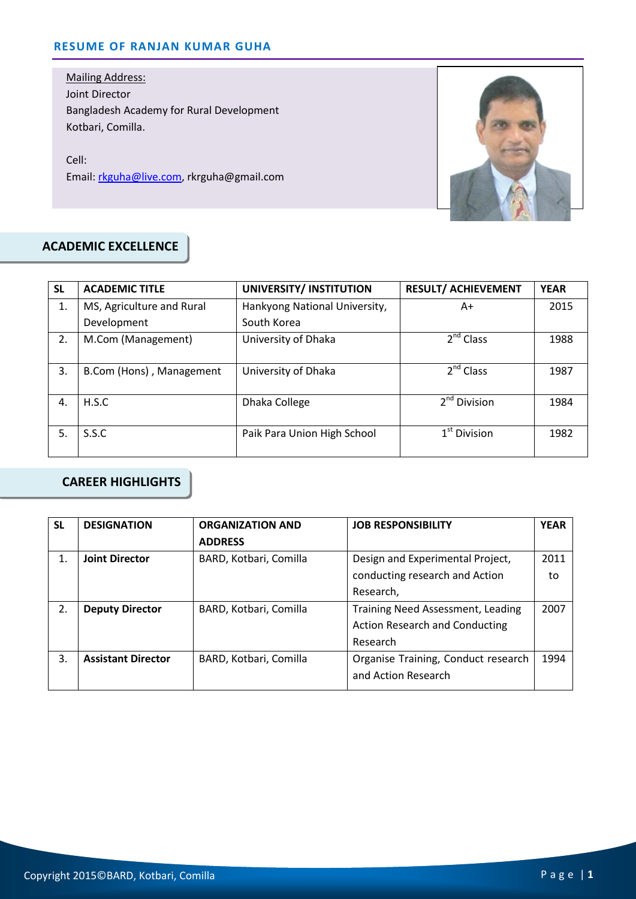#### **RESUME OF RANJAN KUMAR GUHA**

Mailing Address: Joint Director Bangladesh Academy for Rural Development Kotbari, Comilla.

Cell: Email: rkguha@live.com, rkrguha@gmail.com



## **ACADEMIC EXCELLENCE**

| <b>SL</b>        | <b>ACADEMIC TITLE</b>     | UNIVERSITY/ INSTITUTION       | <b>RESULT/ ACHIEVEMENT</b> | <b>YEAR</b> |
|------------------|---------------------------|-------------------------------|----------------------------|-------------|
| 1.               | MS, Agriculture and Rural | Hankyong National University, | A+                         | 2015        |
|                  | Development               | South Korea                   |                            |             |
| $\overline{2}$ . | M.Com (Management)        | University of Dhaka           | $2^{nd}$ Class             | 1988        |
| 3.               | B.Com (Hons), Management  | University of Dhaka           | $2^{nd}$ Class             | 1987        |
| 4.               | H.S.C                     | Dhaka College                 | 2 <sup>nd</sup> Division   | 1984        |
| 5.               | S.S.C                     | Paik Para Union High School   | $1st$ Division             | 1982        |

### **CAREER HIGHLIGHTS**

| <b>SL</b>        | <b>DESIGNATION</b>        | <b>ORGANIZATION AND</b> | <b>JOB RESPONSIBILITY</b>             | <b>YEAR</b> |
|------------------|---------------------------|-------------------------|---------------------------------------|-------------|
|                  |                           | <b>ADDRESS</b>          |                                       |             |
| 1.               | <b>Joint Director</b>     | BARD, Kotbari, Comilla  | Design and Experimental Project,      | 2011        |
|                  |                           |                         | conducting research and Action        | to          |
|                  |                           |                         | Research,                             |             |
| $\overline{2}$ . | <b>Deputy Director</b>    | BARD, Kotbari, Comilla  | Training Need Assessment, Leading     | 2007        |
|                  |                           |                         | <b>Action Research and Conducting</b> |             |
|                  |                           |                         | Research                              |             |
| 3.               | <b>Assistant Director</b> | BARD, Kotbari, Comilla  | Organise Training, Conduct research   | 1994        |
|                  |                           |                         | and Action Research                   |             |
|                  |                           |                         |                                       |             |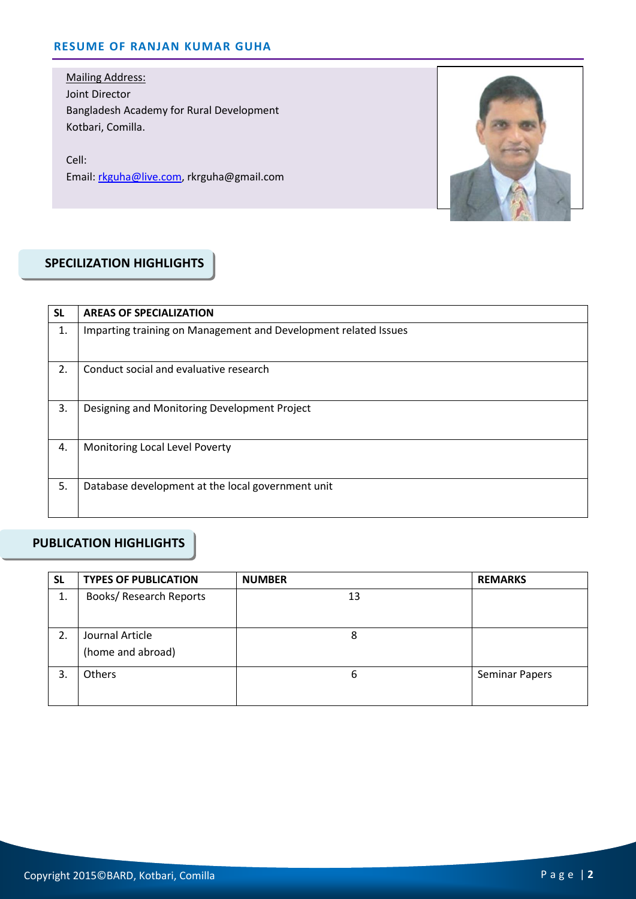#### **RESUME OF RANJAN KUMAR GUHA**

Mailing Address: Joint Director Bangladesh Academy for Rural Development Kotbari, Comilla.

Cell: Email: rkguha@live.com, rkrguha@gmail.com



## **SPECILIZATION HIGHLIGHTS**

| <b>SL</b> | <b>AREAS OF SPECIALIZATION</b>                                  |
|-----------|-----------------------------------------------------------------|
| 1.        | Imparting training on Management and Development related Issues |
| 2.        | Conduct social and evaluative research                          |
| 3.        | Designing and Monitoring Development Project                    |
| 4.        | Monitoring Local Level Poverty                                  |
| 5.        | Database development at the local government unit               |

## **PUBLICATION HIGHLIGHTS**

| <b>SL</b> | <b>TYPES OF PUBLICATION</b>          | <b>NUMBER</b> | <b>REMARKS</b>        |
|-----------|--------------------------------------|---------------|-----------------------|
| 1.        | <b>Books/ Research Reports</b>       | 13            |                       |
| 2.        | Journal Article<br>(home and abroad) | 8             |                       |
| 3.        | Others                               | 6             | <b>Seminar Papers</b> |